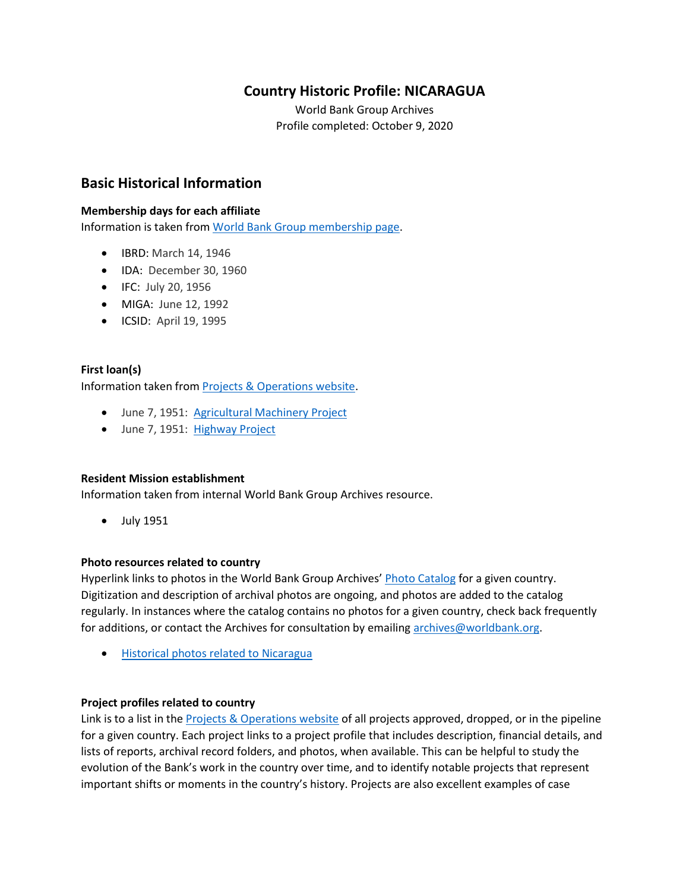## **Country Historic Profile: NICARAGUA**

World Bank Group Archives Profile completed: October 9, 2020

## **Basic Historical Information**

### **Membership days for each affiliate**

Information is taken from [World Bank Group membership page.](https://www.worldbank.org/en/about/leadership/members#1)

- IBRD: March 14, 1946
- IDA: December 30, 1960
- IFC: July 20, 1956
- MIGA: June 12, 1992
- ICSID: April 19, 1995

### **First loan(s)**

Information taken from [Projects & Operations website.](https://projects.worldbank.org/)

- June 7, 1951: [Agricultural Machinery Project](https://projects.worldbank.org/en/projects-operations/project-detail/P007734)
- June 7, 1951: [Highway Project](https://projects.worldbank.org/en/projects-operations/project-detail/P007735)

### **Resident Mission establishment**

Information taken from internal World Bank Group Archives resource.

• July 1951

### **Photo resources related to country**

Hyperlink links to photos in the World Bank Group Archives' [Photo Catalog](https://archivesphotos.worldbank.org/en/about/archives/photo-gallery) for a given country. Digitization and description of archival photos are ongoing, and photos are added to the catalog regularly. In instances where the catalog contains no photos for a given country, check back frequently for additions, or contact the Archives for consultation by emailing [archives@worldbank.org.](mailto:archives@worldbank.org)

• [Historical photos related to Nicaragua](https://archivesphotos.worldbank.org/en/about/archives/photo-gallery/photo-gallery-landing)

### **Project profiles related to country**

Link is to a list in the [Projects & Operations website](https://projects.worldbank.org/) of all projects approved, dropped, or in the pipeline for a given country. Each project links to a project profile that includes description, financial details, and lists of reports, archival record folders, and photos, when available. This can be helpful to study the evolution of the Bank's work in the country over time, and to identify notable projects that represent important shifts or moments in the country's history. Projects are also excellent examples of case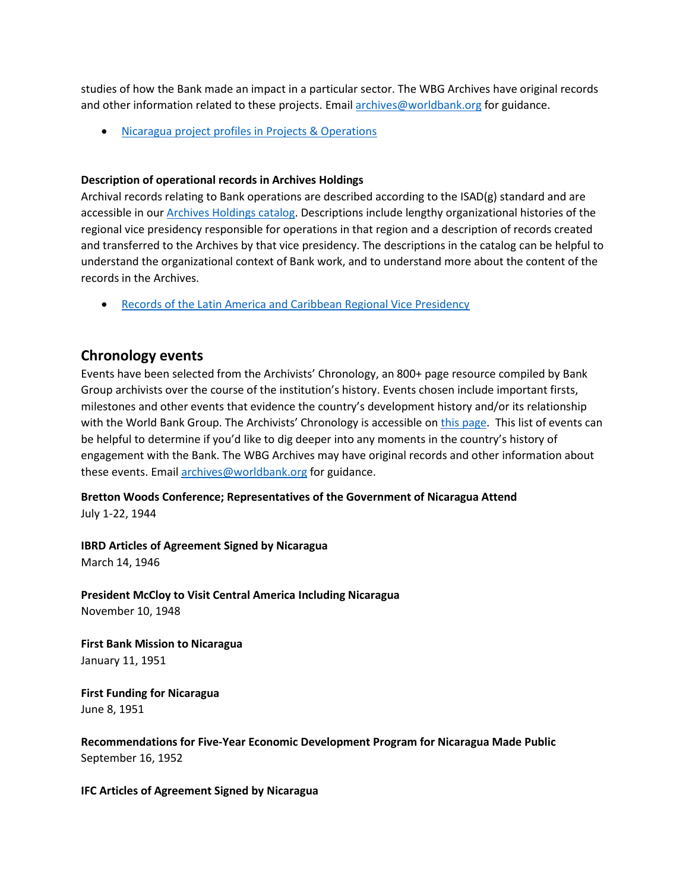studies of how the Bank made an impact in a particular sector. The WBG Archives have original records and other information related to these projects. Email [archives@worldbank.org](mailto:archives@worldbank.org) for guidance.

• [Nicaragua project profiles in Projects & Operations](https://projects.worldbank.org/en/projects-operations/projects-summary?countrycode_exact=NI)

### **Description of operational records in Archives Holdings**

Archival records relating to Bank operations are described according to the ISAD(g) standard and are accessible in our [Archives Holdings catalog.](https://archivesholdings.worldbank.org/) Descriptions include lengthy organizational histories of the regional vice presidency responsible for operations in that region and a description of records created and transferred to the Archives by that vice presidency. The descriptions in the catalog can be helpful to understand the organizational context of Bank work, and to understand more about the content of the records in the Archives.

• [Records of the Latin America and Caribbean Regional Vice Presidency](https://archivesholdings.worldbank.org/records-of-latin-america-and-caribbean-regional-vice-presidency)

### **Chronology events**

Events have been selected from the Archivists' Chronology, an 800+ page resource compiled by Bank Group archivists over the course of the institution's history. Events chosen include important firsts, milestones and other events that evidence the country's development history and/or its relationship with the World Bank Group. The Archivists' Chronology is accessible on [this page.](https://www.worldbank.org/en/about/archives/history/timeline) This list of events can be helpful to determine if you'd like to dig deeper into any moments in the country's history of engagement with the Bank. The WBG Archives may have original records and other information about these events. Email [archives@worldbank.org](mailto:archives@worldbank.org) for guidance.

# **Bretton Woods Conference; Representatives of the Government of Nicaragua Attend**

July 1-22, 1944

**IBRD Articles of Agreement Signed by Nicaragua** March 14, 1946

**President McCloy to Visit Central America Including Nicaragua** November 10, 1948

**First Bank Mission to Nicaragua** January 11, 1951

**First Funding for Nicaragua** June 8, 1951

**Recommendations for Five-Year Economic Development Program for Nicaragua Made Public** September 16, 1952

**IFC Articles of Agreement Signed by Nicaragua**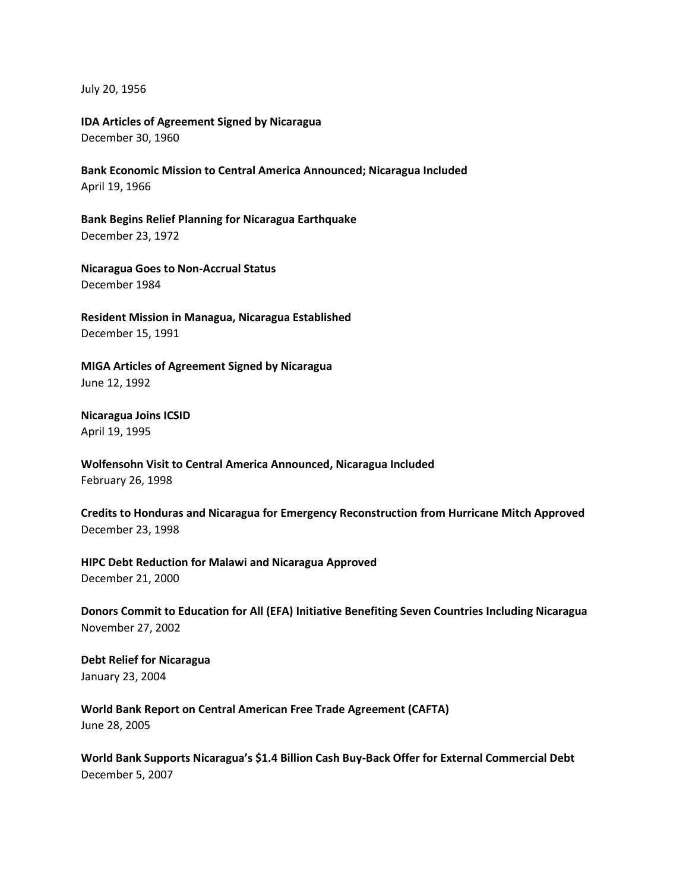July 20, 1956

**IDA Articles of Agreement Signed by Nicaragua** December 30, 1960

**Bank Economic Mission to Central America Announced; Nicaragua Included** April 19, 1966

**Bank Begins Relief Planning for Nicaragua Earthquake** December 23, 1972

**Nicaragua Goes to Non-Accrual Status**  December 1984

**Resident Mission in Managua, Nicaragua Established** December 15, 1991

**MIGA Articles of Agreement Signed by Nicaragua**  June 12, 1992

**Nicaragua Joins ICSID** April 19, 1995

**Wolfensohn Visit to Central America Announced, Nicaragua Included** February 26, 1998

**Credits to Honduras and Nicaragua for Emergency Reconstruction from Hurricane Mitch Approved** December 23, 1998

**HIPC Debt Reduction for Malawi and Nicaragua Approved** December 21, 2000

**Donors Commit to Education for All (EFA) Initiative Benefiting Seven Countries Including Nicaragua** November 27, 2002

**Debt Relief for Nicaragua** January 23, 2004

**World Bank Report on Central American Free Trade Agreement (CAFTA)** June 28, 2005

**World Bank Supports Nicaragua's \$1.4 Billion Cash Buy-Back Offer for External Commercial Debt** December 5, 2007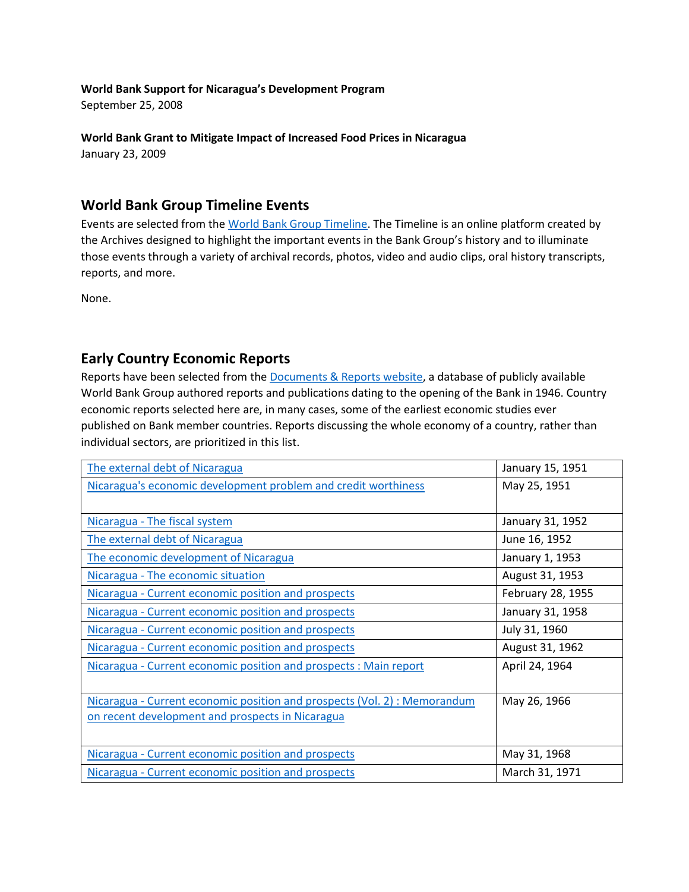## **World Bank Support for Nicaragua's Development Program**

September 25, 2008

**World Bank Grant to Mitigate Impact of Increased Food Prices in Nicaragua** January 23, 2009

## **World Bank Group Timeline Events**

Events are selected from th[e World Bank Group Timeline.](https://timeline.worldbank.org/#event-bretton-woods-conference-begins) The Timeline is an online platform created by the Archives designed to highlight the important events in the Bank Group's history and to illuminate those events through a variety of archival records, photos, video and audio clips, oral history transcripts, reports, and more.

None.

## **Early Country Economic Reports**

Reports have been selected from the [Documents & Reports website,](https://documents.worldbank.org/) a database of publicly available World Bank Group authored reports and publications dating to the opening of the Bank in 1946. Country economic reports selected here are, in many cases, some of the earliest economic studies ever published on Bank member countries. Reports discussing the whole economy of a country, rather than individual sectors, are prioritized in this list.

| The external debt of Nicaragua                                            | January 15, 1951  |
|---------------------------------------------------------------------------|-------------------|
| Nicaragua's economic development problem and credit worthiness            | May 25, 1951      |
|                                                                           |                   |
| Nicaragua - The fiscal system                                             | January 31, 1952  |
| The external debt of Nicaragua                                            | June 16, 1952     |
| The economic development of Nicaragua                                     | January 1, 1953   |
| Nicaragua - The economic situation                                        | August 31, 1953   |
| Nicaragua - Current economic position and prospects                       | February 28, 1955 |
| Nicaragua - Current economic position and prospects                       | January 31, 1958  |
| Nicaragua - Current economic position and prospects                       | July 31, 1960     |
| Nicaragua - Current economic position and prospects                       | August 31, 1962   |
| Nicaragua - Current economic position and prospects : Main report         | April 24, 1964    |
|                                                                           |                   |
| Nicaragua - Current economic position and prospects (Vol. 2) : Memorandum | May 26, 1966      |
| on recent development and prospects in Nicaragua                          |                   |
|                                                                           |                   |
| Nicaragua - Current economic position and prospects                       | May 31, 1968      |
| Nicaragua - Current economic position and prospects                       | March 31, 1971    |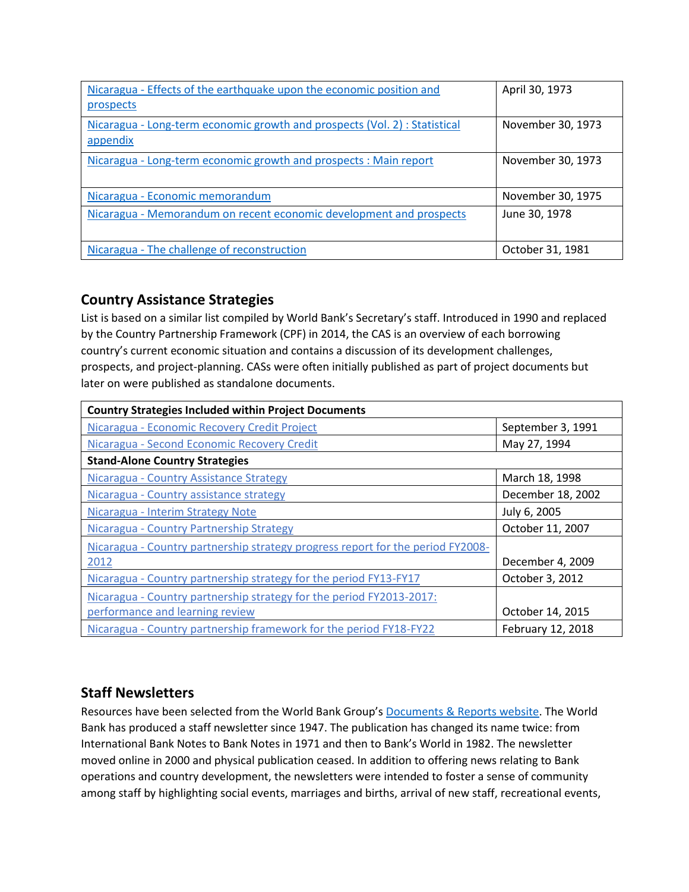| Nicaragua - Effects of the earthquake upon the economic position and<br>prospects      | April 30, 1973    |
|----------------------------------------------------------------------------------------|-------------------|
| Nicaragua - Long-term economic growth and prospects (Vol. 2) : Statistical<br>appendix | November 30, 1973 |
| Nicaragua - Long-term economic growth and prospects : Main report                      | November 30, 1973 |
| Nicaragua - Economic memorandum                                                        | November 30, 1975 |
| Nicaragua - Memorandum on recent economic development and prospects                    | June 30, 1978     |
| Nicaragua - The challenge of reconstruction                                            | October 31, 1981  |

## **Country Assistance Strategies**

List is based on a similar list compiled by World Bank's Secretary's staff. Introduced in 1990 and replaced by the Country Partnership Framework (CPF) in 2014, the CAS is an overview of each borrowing country's current economic situation and contains a discussion of its development challenges, prospects, and project-planning. CASs were often initially published as part of project documents but later on were published as standalone documents.

| <b>Country Strategies Included within Project Documents</b>                     |                   |  |
|---------------------------------------------------------------------------------|-------------------|--|
| Nicaragua - Economic Recovery Credit Project                                    | September 3, 1991 |  |
| Nicaragua - Second Economic Recovery Credit                                     | May 27, 1994      |  |
| <b>Stand-Alone Country Strategies</b>                                           |                   |  |
| Nicaragua - Country Assistance Strategy                                         | March 18, 1998    |  |
| Nicaragua - Country assistance strategy                                         | December 18, 2002 |  |
| Nicaragua - Interim Strategy Note                                               | July 6, 2005      |  |
| Nicaragua - Country Partnership Strategy                                        | October 11, 2007  |  |
| Nicaragua - Country partnership strategy progress report for the period FY2008- |                   |  |
| 2012                                                                            | December 4, 2009  |  |
| Nicaragua - Country partnership strategy for the period FY13-FY17               | October 3, 2012   |  |
| Nicaragua - Country partnership strategy for the period FY2013-2017:            |                   |  |
| performance and learning review                                                 | October 14, 2015  |  |
| Nicaragua - Country partnership framework for the period FY18-FY22              | February 12, 2018 |  |

## **Staff Newsletters**

Resources have been selected from the World Bank Group's [Documents & Reports website.](https://documents.worldbank.org/) The World Bank has produced a staff newsletter since 1947. The publication has changed its name twice: from International Bank Notes to Bank Notes in 1971 and then to Bank's World in 1982. The newsletter moved online in 2000 and physical publication ceased. In addition to offering news relating to Bank operations and country development, the newsletters were intended to foster a sense of community among staff by highlighting social events, marriages and births, arrival of new staff, recreational events,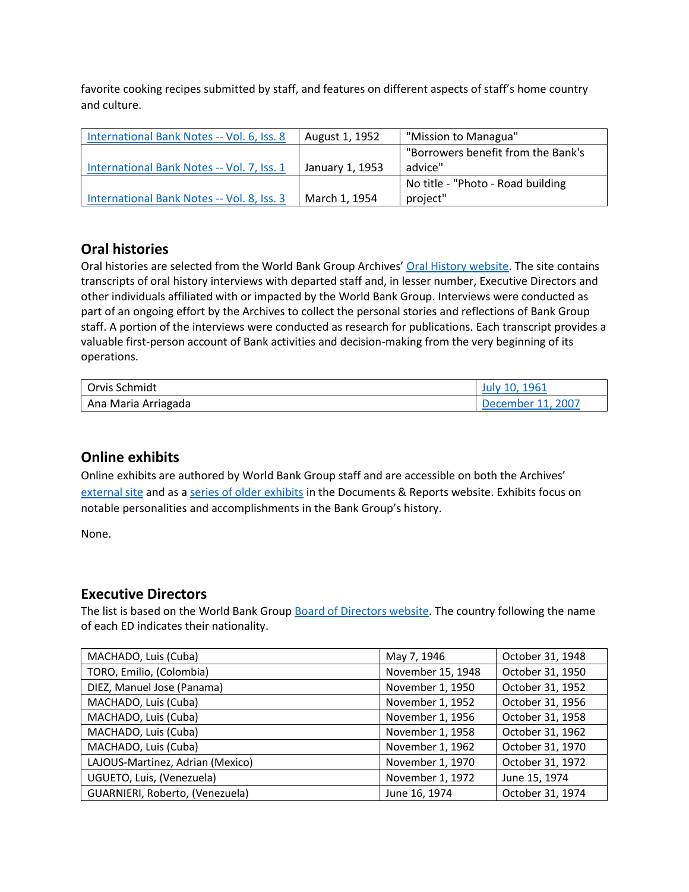favorite cooking recipes submitted by staff, and features on different aspects of staff's home country and culture.

| International Bank Notes -- Vol. 6, Iss. 8 | August 1, 1952  | "Mission to Managua"               |
|--------------------------------------------|-----------------|------------------------------------|
|                                            |                 | "Borrowers benefit from the Bank's |
| International Bank Notes -- Vol. 7, Iss. 1 | January 1, 1953 | advice"                            |
|                                            |                 | No title - "Photo - Road building  |
| International Bank Notes -- Vol. 8, Iss. 3 | March 1, 1954   | project"                           |

## **Oral histories**

Oral histories are selected from the World Bank Group Archives' [Oral History website.](https://oralhistory.worldbank.org/) The site contains transcripts of oral history interviews with departed staff and, in lesser number, Executive Directors and other individuals affiliated with or impacted by the World Bank Group. Interviews were conducted as part of an ongoing effort by the Archives to collect the personal stories and reflections of Bank Group staff. A portion of the interviews were conducted as research for publications. Each transcript provides a valuable first-person account of Bank activities and decision-making from the very beginning of its operations.

| Orvis Schmidt       | 1961                   |
|---------------------|------------------------|
| Ana Maria Arriagada | 2007<br>Decem<br>Ther. |

## **Online exhibits**

Online exhibits are authored by World Bank Group staff and are accessible on both the Archives' [external site](https://www.worldbank.org/en/about/archives/history/exhibits) and as a [series of older exhibits](https://documents.worldbank.org/en/publication/documents-reports/documentlist?colti=World%20Bank%20Group%20Archives%20exhibit%20series) in the Documents & Reports website. Exhibits focus on notable personalities and accomplishments in the Bank Group's history.

None.

## **Executive Directors**

The list is based on the World Bank Group [Board of Directors website.](https://worldbankgroup.sharepoint.com/sites/wbsites/ExecutiveBoard/Pages/pc/About-the-Boards-05222019-155532/List-of-Executi-05222019-155839.aspx) The country following the name of each ED indicates their nationality.

| MACHADO, Luis (Cuba)             | May 7, 1946       | October 31, 1948 |
|----------------------------------|-------------------|------------------|
| TORO, Emilio, (Colombia)         | November 15, 1948 | October 31, 1950 |
| DIEZ, Manuel Jose (Panama)       | November 1, 1950  | October 31, 1952 |
| MACHADO, Luis (Cuba)             | November 1, 1952  | October 31, 1956 |
| MACHADO, Luis (Cuba)             | November 1, 1956  | October 31, 1958 |
| MACHADO, Luis (Cuba)             | November 1, 1958  | October 31, 1962 |
| MACHADO, Luis (Cuba)             | November 1, 1962  | October 31, 1970 |
| LAJOUS-Martinez, Adrian (Mexico) | November 1, 1970  | October 31, 1972 |
| UGUETO, Luis, (Venezuela)        | November 1, 1972  | June 15, 1974    |
| GUARNIERI, Roberto, (Venezuela)  | June 16, 1974     | October 31, 1974 |